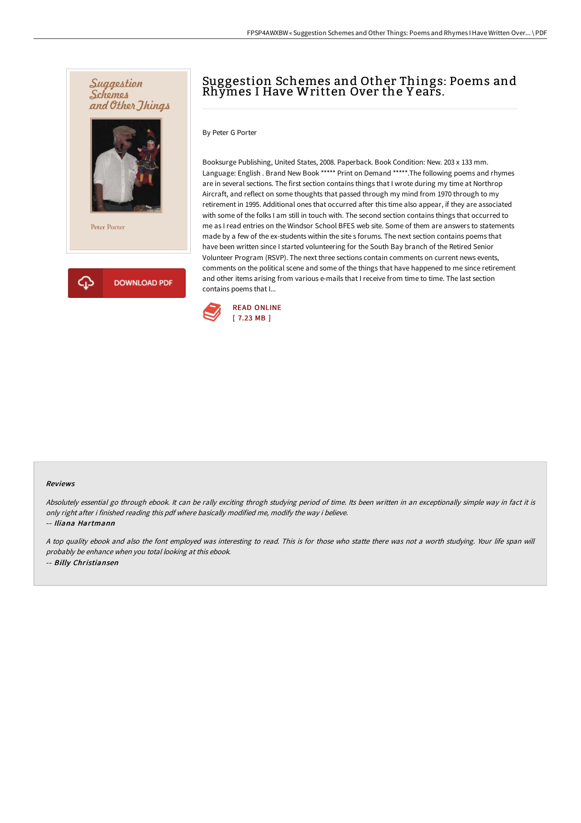

## Suggestion Schemes and Other Things: Poems and Rhymes I Have Written Over the Y ears.

By Peter G Porter

Booksurge Publishing, United States, 2008. Paperback. Book Condition: New. 203 x 133 mm. Language: English . Brand New Book \*\*\*\*\* Print on Demand \*\*\*\*\*.The following poems and rhymes are in several sections. The first section contains things that I wrote during my time at Northrop Aircraft, and reflect on some thoughts that passed through my mind from 1970 through to my retirement in 1995. Additional ones that occurred after this time also appear, if they are associated with some of the folks I am still in touch with. The second section contains things that occurred to me as I read entries on the Windsor School BFES web site. Some of them are answers to statements made by a few of the ex-students within the site s forums. The next section contains poems that have been written since I started volunteering for the South Bay branch of the Retired Senior Volunteer Program (RSVP). The next three sections contain comments on current news events, comments on the political scene and some of the things that have happened to me since retirement and other items arising from various e-mails that I receive from time to time. The last section contains poems that I...



#### Reviews

Absolutely essential go through ebook. It can be rally exciting throgh studying period of time. Its been written in an exceptionally simple way in fact it is only right after i finished reading this pdf where basically modified me, modify the way i believe.

-- Iliana Hartmann

<sup>A</sup> top quality ebook and also the font employed was interesting to read. This is for those who statte there was not <sup>a</sup> worth studying. Your life span will probably be enhance when you total looking at this ebook. -- Billy Christiansen